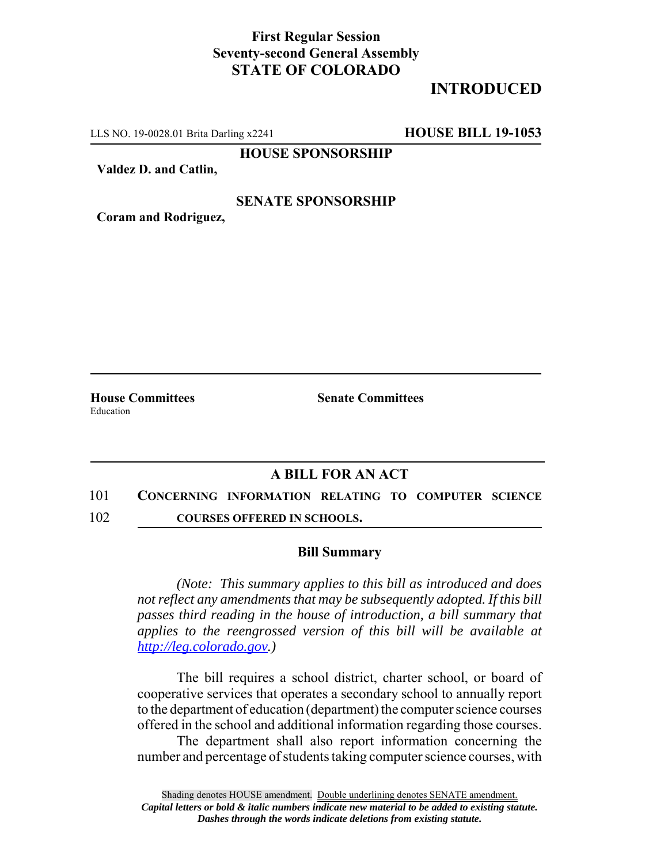## **First Regular Session Seventy-second General Assembly STATE OF COLORADO**

# **INTRODUCED**

LLS NO. 19-0028.01 Brita Darling x2241 **HOUSE BILL 19-1053**

**HOUSE SPONSORSHIP**

**Valdez D. and Catlin,**

### **SENATE SPONSORSHIP**

**Coram and Rodriguez,**

Education

**House Committees Senate Committees** 

## **A BILL FOR AN ACT**

- 101 **CONCERNING INFORMATION RELATING TO COMPUTER SCIENCE**
- 102 **COURSES OFFERED IN SCHOOLS.**

#### **Bill Summary**

*(Note: This summary applies to this bill as introduced and does not reflect any amendments that may be subsequently adopted. If this bill passes third reading in the house of introduction, a bill summary that applies to the reengrossed version of this bill will be available at http://leg.colorado.gov.)*

The bill requires a school district, charter school, or board of cooperative services that operates a secondary school to annually report to the department of education (department) the computer science courses offered in the school and additional information regarding those courses.

The department shall also report information concerning the number and percentage of students taking computer science courses, with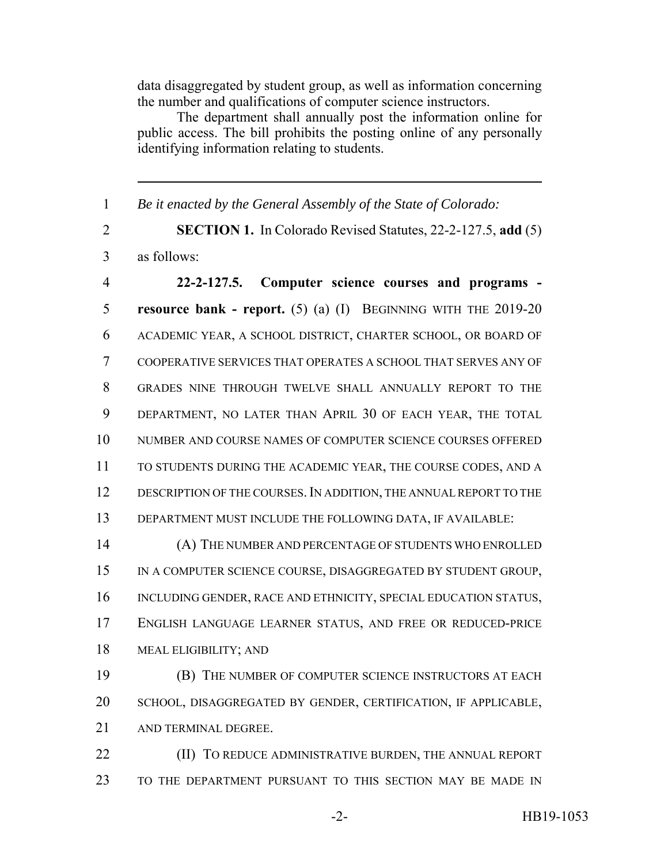data disaggregated by student group, as well as information concerning the number and qualifications of computer science instructors.

The department shall annually post the information online for public access. The bill prohibits the posting online of any personally identifying information relating to students.

*Be it enacted by the General Assembly of the State of Colorado:*

 **SECTION 1.** In Colorado Revised Statutes, 22-2-127.5, **add** (5) as follows:

 **22-2-127.5. Computer science courses and programs - resource bank - report.** (5) (a) (I) BEGINNING WITH THE 2019-20 ACADEMIC YEAR, A SCHOOL DISTRICT, CHARTER SCHOOL, OR BOARD OF COOPERATIVE SERVICES THAT OPERATES A SCHOOL THAT SERVES ANY OF GRADES NINE THROUGH TWELVE SHALL ANNUALLY REPORT TO THE DEPARTMENT, NO LATER THAN APRIL 30 OF EACH YEAR, THE TOTAL NUMBER AND COURSE NAMES OF COMPUTER SCIENCE COURSES OFFERED TO STUDENTS DURING THE ACADEMIC YEAR, THE COURSE CODES, AND A 12 DESCRIPTION OF THE COURSES. IN ADDITION, THE ANNUAL REPORT TO THE DEPARTMENT MUST INCLUDE THE FOLLOWING DATA, IF AVAILABLE:

 (A) THE NUMBER AND PERCENTAGE OF STUDENTS WHO ENROLLED 15 IN A COMPUTER SCIENCE COURSE, DISAGGREGATED BY STUDENT GROUP, INCLUDING GENDER, RACE AND ETHNICITY, SPECIAL EDUCATION STATUS, ENGLISH LANGUAGE LEARNER STATUS, AND FREE OR REDUCED-PRICE MEAL ELIGIBILITY; AND

 (B) THE NUMBER OF COMPUTER SCIENCE INSTRUCTORS AT EACH SCHOOL, DISAGGREGATED BY GENDER, CERTIFICATION, IF APPLICABLE, AND TERMINAL DEGREE.

**(II) TO REDUCE ADMINISTRATIVE BURDEN, THE ANNUAL REPORT** TO THE DEPARTMENT PURSUANT TO THIS SECTION MAY BE MADE IN